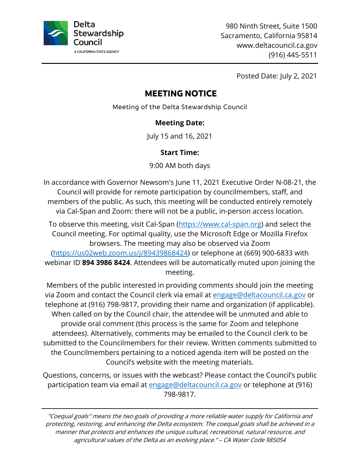

980 Ninth Street, Suite 1500 Sacramento, California 95814 <www.deltacouncil.ca.gov> (916) 445-5511

Posted Date: July 2, 2021

# **MEETING NOTICE**

Meeting of the Delta Stewardship Council

## **Meeting Date:**

July 15 and 16, 2021

## **Start Time:**

9:00 AM both days

In accordance with Governor Newsom's June 11, 2021 Executive Order N-08-21, the Council will provide for remote participation by councilmembers, staff, and members of the public. As such, this meeting will be conducted entirely remotely via Cal-Span and Zoom: there will not be a public, in-person access location.

To observe this meeting, visit Cal-Span (<u><https://www.cal-span.org></u>) and select the Council meeting. For optimal quality, use the Microsoft Edge or Mozilla Firefox browsers. The meeting may also be observed via Zoom [\(https://us02web.zoom.us/j/89439868424](https://us02web.zoom.us/j/89439868424)) or telephone at (669) 900-6833 with webinar ID **894 3986 8424**. Attendees will be automatically muted upon joining the meeting.

 Members of the public interested in providing comments should join the meeting via Zoom and contact the Council clerk via email at [engage@deltacouncil.ca.gov](mailto:engage@deltacouncil.ca.gov) or telephone at (916) 798-9817, providing their name and organization (if applicable). When called on by the Council chair, the attendee will be unmuted and able to provide oral comment (this process is the same for Zoom and telephone attendees). Alternatively, comments may be emailed to the Council clerk to be submitted to the Councilmembers for their review. Written comments submitted to the Councilmembers pertaining to a noticed agenda item will be posted on the Council's website with the meeting materials.

Questions, concerns, or issues with the webcast? Please contact the Council's public participation team via email at [engage@deltacouncil.ca.gov](mailto:engage@deltacouncil.ca.gov) or telephone at (916) 798-9817.

"Coequal goals" means the two goals of providing a more reliable water supply for California and protecting, restoring, and enhancing the Delta ecosystem. The coequal goals shall be achieved in a manner that protects and enhances the unique cultural, recreational, natural resource, and agricultural values of the Delta as an evolving place." – CA Water Code §85054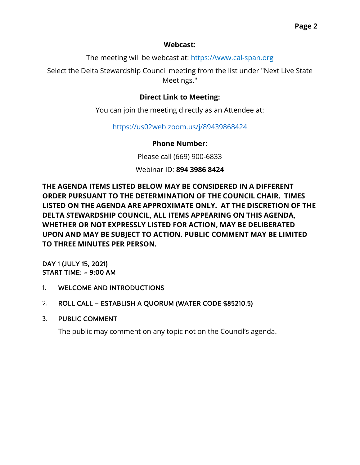#### **Webcast:**

The meeting will be webcast at: <https://www.cal-span.org>

Select the Delta Stewardship Council meeting from the list under "Next Live State Meetings."

# **Direct Link to Meeting:**

You can join the meeting directly as an Attendee at:

<https://us02web.zoom.us/j/89439868424>

#### **Phone Number:**

Please call (669) 900-6833

Webinar ID: **894 3986 8424** 

**THE AGENDA ITEMS LISTED BELOW MAY BE CONSIDERED IN A DIFFERENT ORDER PURSUANT TO THE DETERMINATION OF THE COUNCIL CHAIR. TIMES LISTED ON THE AGENDA ARE APPROXIMATE ONLY. AT THE DISCRETION OF THE DELTA STEWARDSHIP COUNCIL, ALL ITEMS APPEARING ON THIS AGENDA, WHETHER OR NOT EXPRESSLY LISTED FOR ACTION, MAY BE DELIBERATED UPON AND MAY BE SUBJECT TO ACTION. PUBLIC COMMENT MAY BE LIMITED TO THREE MINUTES PER PERSON.** 

 START TIME: ~ 9:00 AM DAY 1 (JULY 15, 2021)

- 1. WELCOME AND INTRODUCTIONS
- 2. ROLL CALL ESTABLISH A QUORUM (WATER CODE §85210.5)
- 3. PUBLIC COMMENT

The public may comment on any topic not on the Council's agenda.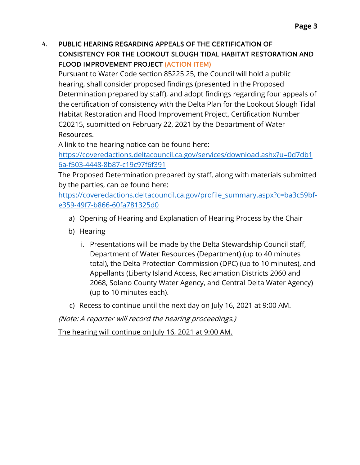# 4. PUBLIC HEARING REGARDING APPEALS OF THE CERTIFICATION OF CONSISTENCY FOR THE LOOKOUT SLOUGH TIDAL HABITAT RESTORATION AND FLOOD IMPROVEMENT PROJECT (ACTION ITEM)

 Pursuant to Water Code section [85225.25](https://85225.25), the Council will hold a public hearing, shall consider proposed findings (presented in the Proposed C20215, submitted on February 22, 2021 by the Department of Water Determination prepared by staff), and adopt findings regarding four appeals of the certification of consistency with the Delta Plan for the Lookout Slough Tidal Habitat Restoration and Flood Improvement Project, Certification Number Resources.

A link to the hearing notice can be found here:

[https://coveredactions.deltacouncil.ca.gov/services/download.ashx?u=0d7db1](https://coveredactions.deltacouncil.ca.gov/services/download.ashx?u=0d7db16a-f503-4448-8b87-c19c97f6f391) 6a-f503-4448-8b87-c19c97f6f391

The Proposed Determination prepared by staff, along with materials submitted by the parties, can be found here:

 e359-49f7-b866-60fa781325d0 [https://coveredactions.deltacouncil.ca.gov/profile\\_summary.aspx?c=ba3c59bf](https://coveredactions.deltacouncil.ca.gov/profile_summary.aspx?c=ba3c59bf-e359-49f7-b866-60fa781325d0)-

- a) Opening of Hearing and Explanation of Hearing Process by the Chair
- b) Hearing
	- i. Presentations will be made by the Delta Stewardship Council staff, Department of Water Resources (Department) (up to 40 minutes total), the Delta Protection Commission (DPC) (up to 10 minutes), and Appellants (Liberty Island Access, Reclamation Districts 2060 and 2068, Solano County Water Agency, and Central Delta Water Agency) (up to 10 minutes each).
- c) Recess to continue until the next day on July 16, 2021 at 9:00 AM.

(Note: A reporter will record the hearing proceedings.)

The hearing will continue on July 16, 2021 at 9:00 AM.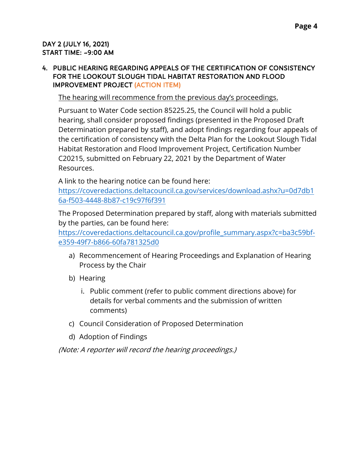#### DAY 2 (JULY 16, 2021) START TIME: ~9:00 AM

#### 4. PUBLIC HEARING REGARDING APPEALS OF THE CERTIFICATION OF CONSISTENCY FOR THE LOOKOUT SLOUGH TIDAL HABITAT RESTORATION AND FLOOD IMPROVEMENT PROJECT (ACTION ITEM)

The hearing will recommence from the previous day's proceedings.

 Pursuant to Water Code section [85225.25,](https://85225.25) the Council will hold a public hearing, shall consider proposed findings (presented in the Proposed Draft C20215, submitted on February 22, 2021 by the Department of Water Determination prepared by staff), and adopt findings regarding four appeals of the certification of consistency with the Delta Plan for the Lookout Slough Tidal Habitat Restoration and Flood Improvement Project, Certification Number Resources.

A link to the hearing notice can be found here:

[https://coveredactions.deltacouncil.ca.gov/services/download.ashx?u=0d7db1](https://coveredactions.deltacouncil.ca.gov/services/download.ashx?u=0d7db16a-f503-4448-8b87-c19c97f6f391) 6a-f503-4448-8b87-c19c97f6f391

The Proposed Determination prepared by staff, along with materials submitted by the parties, can be found here:

 e359-49f7-b866-60fa781325d0 [https://coveredactions.deltacouncil.ca.gov/profile\\_summary.aspx?c=ba3c59bf-](https://coveredactions.deltacouncil.ca.gov/profile_summary.aspx?c=ba3c59bf-e359-49f7-b866-60fa781325d0)

- a) Recommencement of Hearing Proceedings and Explanation of Hearing Process by the Chair
- b) Hearing
	- i. Public comment (refer to public comment directions above) for details for verbal comments and the submission of written comments)
- c) Council Consideration of Proposed Determination
- d) Adoption of Findings

(Note: A reporter will record the hearing proceedings.)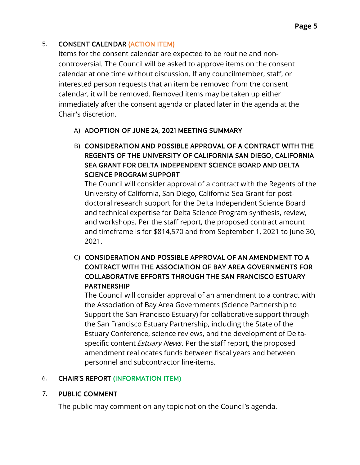### 5. CONSENT CALENDAR (ACTION ITEM)

Items for the consent calendar are expected to be routine and non controversial. The Council will be asked to approve items on the consent calendar at one time without discussion. If any councilmember, staff, or interested person requests that an item be removed from the consent calendar, it will be removed. Removed items may be taken up either immediately after the consent agenda or placed later in the agenda at the Chair's discretion.

## A) ADOPTION OF JUNE 24, 2021 MEETING SUMMARY

B) CONSIDERATION AND POSSIBLE APPROVAL OF A CONTRACT WITH THE REGENTS OF THE UNIVERSITY OF CALIFORNIA SAN DIEGO, CALIFORNIA SEA GRANT FOR DELTA INDEPENDENT SCIENCE BOARD AND DELTA SCIENCE PROGRAM SUPPORT

The Council will consider approval of a contract with the Regents of the University of California, San Diego, California Sea Grant for postdoctoral research support for the Delta Independent Science Board and technical expertise for Delta Science Program synthesis, review, and workshops. Per the staff report, the proposed contract amount and timeframe is for \$814,570 and from September 1, 2021 to June 30, 2021.

C) CONSIDERATION AND POSSIBLE APPROVAL OF AN AMENDMENT TO A CONTRACT WITH THE ASSOCIATION OF BAY AREA GOVERNMENTS FOR COLLABORATIVE EFFORTS THROUGH THE SAN FRANCISCO ESTUARY PARTNERSHIP

The Council will consider approval of an amendment to a contract with the Association of Bay Area Governments (Science Partnership to Support the San Francisco Estuary) for collaborative support through the San Francisco Estuary Partnership, including the State of the Estuary Conference, science reviews, and the development of Deltaspecific content *Estuary News*. Per the staff report, the proposed amendment reallocates funds between fiscal years and between personnel and subcontractor line-items.

#### 6. CHAIR'S REPORT (INFORMATION ITEM)

#### 7. PUBLIC COMMENT

The public may comment on any topic not on the Council's agenda.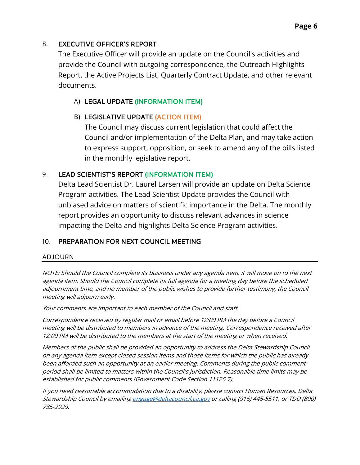### 8. EXECUTIVE OFFICER'S REPORT

The Executive Officer will provide an update on the Council's activities and provide the Council with outgoing correspondence, the Outreach Highlights Report, the Active Projects List, Quarterly Contract Update, and other relevant documents.

### A) LEGAL UPDATE (INFORMATION ITEM)

### B) LEGISLATIVE UPDATE (ACTION ITEM)

The Council may discuss current legislation that could affect the Council and/or implementation of the Delta Plan, and may take action to express support, opposition, or seek to amend any of the bills listed in the monthly legislative report.

#### 9. LEAD SCIENTIST'S REPORT (INFORMATION ITEM)

Delta Lead Scientist Dr. Laurel Larsen will provide an update on Delta Science Program activities. The Lead Scientist Update provides the Council with unbiased advice on matters of scientific importance in the Delta. The monthly report provides an opportunity to discuss relevant advances in science impacting the Delta and highlights Delta Science Program activities.

#### 10. PREPARATION FOR NEXT COUNCIL MEETING

#### ADJOURN

NOTE: Should the Council complete its business under any agenda item, it will move on to the next agenda item. Should the Council complete its full agenda for a meeting day before the scheduled adjournment time, and no member of the public wishes to provide further testimony, the Council meeting will adjourn early.

Your comments are important to each member of the Council and staff.

Correspondence received by regular mail or email before 12:00 PM the day before a Council meeting will be distributed to members in advance of the meeting. Correspondence received after 12:00 PM will be distributed to the members at the start of the meeting or when received.

Members of the public shall be provided an opportunity to address the Delta Stewardship Council on any agenda item except closed session items and those items for which the public has already been afforded such an opportunity at an earlier meeting. Comments during the public comment period shall be limited to matters within the Council's jurisdiction. Reasonable time limits may be established for public comments (Government Code Section 11125.7).

If you need reasonable accommodation due to a disability, please contact Human Resources, Delta Stewardship Council by emailin[g engage@deltacouncil.ca.gov](mailto:engage@deltacouncil.ca.gov) or calling (916) 445-5511, or TDD (800) 735-2929.